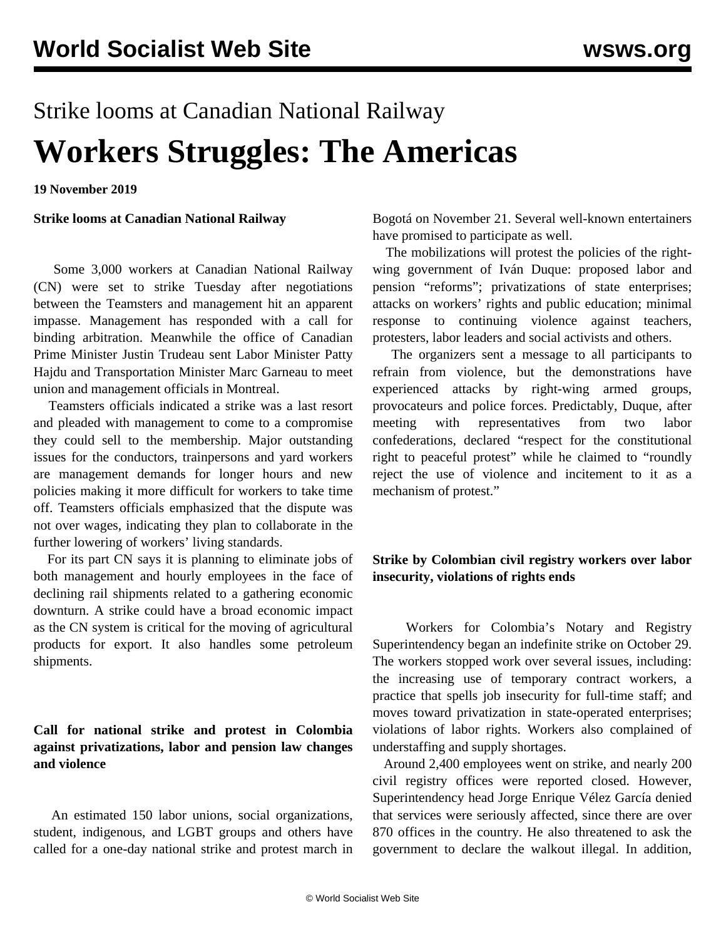# Strike looms at Canadian National Railway **Workers Struggles: The Americas**

**19 November 2019**

**Strike looms at Canadian National Railway**

 Some 3,000 workers at Canadian National Railway (CN) were set to strike Tuesday after negotiations between the Teamsters and management hit an apparent impasse. Management has responded with a call for binding arbitration. Meanwhile the office of Canadian Prime Minister Justin Trudeau sent Labor Minister Patty Hajdu and Transportation Minister Marc Garneau to meet union and management officials in Montreal.

 Teamsters officials indicated a strike was a last resort and pleaded with management to come to a compromise they could sell to the membership. Major outstanding issues for the conductors, trainpersons and yard workers are management demands for longer hours and new policies making it more difficult for workers to take time off. Teamsters officials emphasized that the dispute was not over wages, indicating they plan to collaborate in the further lowering of workers' living standards.

 For its part CN says it is planning to eliminate jobs of both management and hourly employees in the face of declining rail shipments related to a gathering economic downturn. A strike could have a broad economic impact as the CN system is critical for the moving of agricultural products for export. It also handles some petroleum shipments.

#### **Call for national strike and protest in Colombia against privatizations, labor and pension law changes and violence**

 An estimated 150 labor unions, social organizations, student, indigenous, and LGBT groups and others have called for a one-day national strike and protest march in

Bogotá on November 21. Several well-known entertainers have promised to participate as well.

 The mobilizations will protest the policies of the rightwing government of Iván Duque: proposed labor and pension "reforms"; privatizations of state enterprises; attacks on workers' rights and public education; minimal response to continuing violence against teachers, protesters, labor leaders and social activists and others.

 The organizers sent a message to all participants to refrain from violence, but the demonstrations have experienced attacks by right-wing armed groups, provocateurs and police forces. Predictably, Duque, after meeting with representatives from two labor confederations, declared "respect for the constitutional right to peaceful protest" while he claimed to "roundly reject the use of violence and incitement to it as a mechanism of protest."

### **Strike by Colombian civil registry workers over labor insecurity, violations of rights ends**

 Workers for Colombia's Notary and Registry Superintendency began an indefinite strike on October 29. The workers stopped work over several issues, including: the increasing use of temporary contract workers, a practice that spells job insecurity for full-time staff; and moves toward privatization in state-operated enterprises; violations of labor rights. Workers also complained of understaffing and supply shortages.

 Around 2,400 employees went on strike, and nearly 200 civil registry offices were reported closed. However, Superintendency head Jorge Enrique Vélez García denied that services were seriously affected, since there are over 870 offices in the country. He also threatened to ask the government to declare the walkout illegal. In addition,